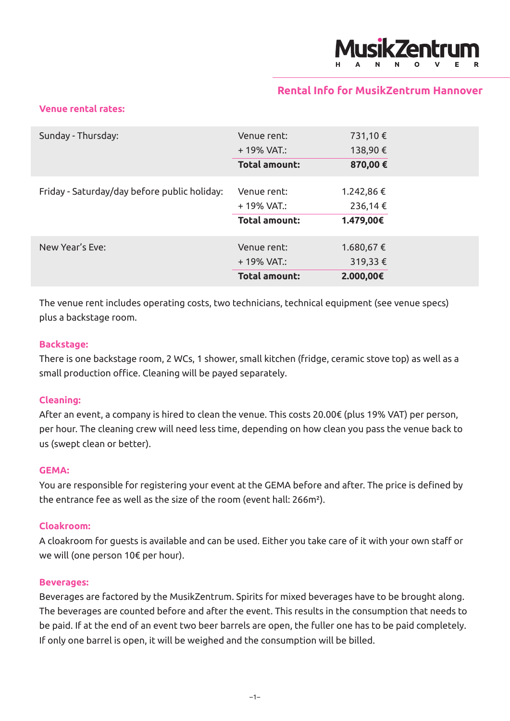

# **Rental Info for MusikZentrum Hannover**

## **Venue rental rates:**

| Sunday - Thursday:                           | Venue rent:          | 731,10 €   |
|----------------------------------------------|----------------------|------------|
|                                              | $+19\%$ VAT.:        | 138,90€    |
|                                              | <b>Total amount:</b> | 870,00€    |
| Friday - Saturday/day before public holiday: | Venue rent:          | 1.242,86 € |
|                                              | + 19% VAT.:          | 236,14 €   |
|                                              | <b>Total amount:</b> | 1.479,00€  |
| New Year's Eve:                              | Venue rent:          | 1.680,67 € |
|                                              | $+19\%$ VAT.:        | 319,33€    |
|                                              | <b>Total amount:</b> | 2.000,00€  |

The venue rent includes operating costs, two technicians, technical equipment (see venue specs) plus a backstage room.

## **Backstage:**

There is one backstage room, 2 WCs, 1 shower, small kitchen (fridge, ceramic stove top) as well as a small production office. Cleaning will be payed separately.

## **Cleaning:**

After an event, a company is hired to clean the venue. This costs 20.00€ (plus 19% VAT) per person, per hour. The cleaning crew will need less time, depending on how clean you pass the venue back to us (swept clean or better).

### **GEMA:**

You are responsible for registering your event at the GEMA before and after. The price is defined by the entrance fee as well as the size of the room (event hall: 266m²).

### **Cloakroom:**

A cloakroom for guests is available and can be used. Either you take care of it with your own staff or we will (one person 10€ per hour).

#### **Beverages:**

Beverages are factored by the MusikZentrum. Spirits for mixed beverages have to be brought along. The beverages are counted before and after the event. This results in the consumption that needs to be paid. If at the end of an event two beer barrels are open, the fuller one has to be paid completely. If only one barrel is open, it will be weighed and the consumption will be billed.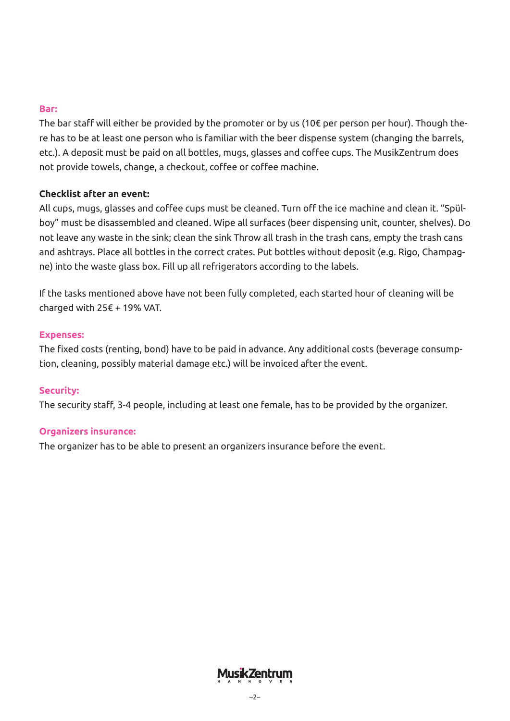## **Bar:**

The bar staff will either be provided by the promoter or by us (10€ per person per hour). Though there has to be at least one person who is familiar with the beer dispense system (changing the barrels, etc.). A deposit must be paid on all bottles, mugs, glasses and coffee cups. The MusikZentrum does not provide towels, change, a checkout, coffee or coffee machine.

# **Checklist after an event:**

All cups, mugs, glasses and coffee cups must be cleaned. Turn off the ice machine and clean it. "Spülboy" must be disassembled and cleaned. Wipe all surfaces (beer dispensing unit, counter, shelves). Do not leave any waste in the sink; clean the sink Throw all trash in the trash cans, empty the trash cans and ashtrays. Place all bottles in the correct crates. Put bottles without deposit (e.g. Rigo, Champagne) into the waste glass box. Fill up all refrigerators according to the labels.

If the tasks mentioned above have not been fully completed, each started hour of cleaning will be charged with 25€ + 19% VAT.

## **Expenses:**

The fixed costs (renting, bond) have to be paid in advance. Any additional costs (beverage consumption, cleaning, possibly material damage etc.) will be invoiced after the event.

## **Security:**

The security staff, 3-4 people, including at least one female, has to be provided by the organizer.

## **Organizers insurance:**

The organizer has to be able to present an organizers insurance before the event.

**Musik Zentrum**